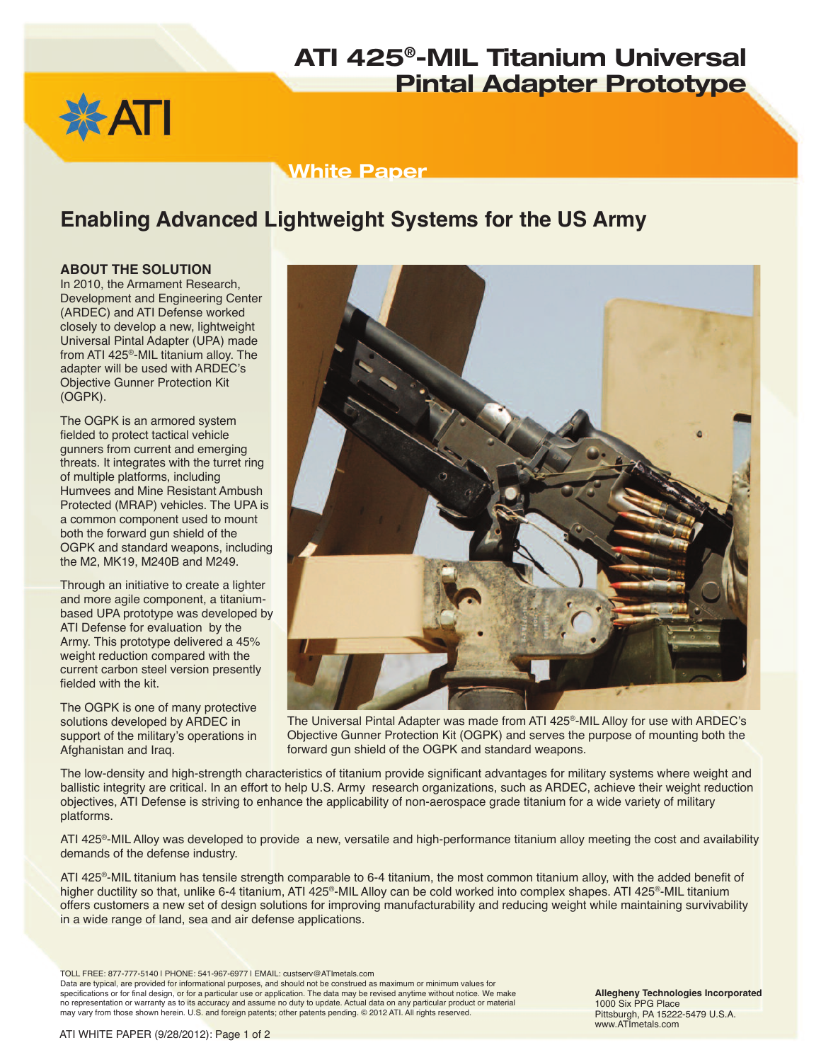# **ATI 425®-MIL Titanium Universal Pintal Adapter Prototype**



### **White Paper**

### **Enabling Advanced Lightweight Systems for the US Army**

#### **ABOUT THE SOLUTION**

In 2010, the Armament Research, Development and Engineering Center (ARDEC) and ATI Defense worked closely to develop a new, lightweight Universal Pintal Adapter (UPA) made from ATI 425®-MIL titanium alloy. The adapter will be used with ARDEC's Objective Gunner Protection Kit (OGPK).

The OGPK is an armored system fielded to protect tactical vehicle gunners from current and emerging threats. It integrates with the turret ring of multiple platforms, including Humvees and Mine Resistant Ambush Protected (MRAP) vehicles. The UPA is a common component used to mount both the forward gun shield of the OGPK and standard weapons, including the M2, MK19, M240B and M249.

Through an initiative to create a lighter and more agile component, a titaniumbased UPA prototype was developed by ATI Defense for evaluation by the Army. This prototype delivered a 45% weight reduction compared with the current carbon steel version presently fielded with the kit.

The OGPK is one of many protective solutions developed by ARDEC in support of the military's operations in Afghanistan and Iraq.



The Universal Pintal Adapter was made from ATI 425®-MIL Alloy for use with ARDEC's Objective Gunner Protection Kit (OGPK) and serves the purpose of mounting both the forward gun shield of the OGPK and standard weapons.

The low-density and high-strength characteristics of titanium provide significant advantages for military systems where weight and ballistic integrity are critical. In an effort to help U.S. Army research organizations, such as ARDEC, achieve their weight reduction objectives, ATI Defense is striving to enhance the applicability of non-aerospace grade titanium for a wide variety of military platforms.

ATI 425®-MIL Alloy was developed to provide a new, versatile and high-performance titanium alloy meeting the cost and availability demands of the defense industry.

ATI 425®-MIL titanium has tensile strength comparable to 6-4 titanium, the most common titanium alloy, with the added benefit of higher ductility so that, unlike 6-4 titanium, ATI 425®-MIL Alloy can be cold worked into complex shapes. ATI 425®-MIL titanium offers customers a new set of design solutions for improving manufacturability and reducing weight while maintaining survivability in a wide range of land, sea and air defense applications.

TOLL FREE: 877-777-5140 | PHONE: 541-967-6977 | EMAIL: custserv@ATImetals.com Data are typical, are provided for informational purposes, and should not be construed as maximum or minimum values for

specifications or for final design, or for a particular use or application. The data may be revised anytime without notice. We make no representation or warranty as to its accuracy and assume no duty to update. Actual data on any particular product or material may vary from those shown herein. U.S. and foreign patents; other patents pending. © 2012 ATI. All rights reserved.

**Allegheny Technologies Incorporated** 1000 Six PPG Place Pittsburgh, PA 15222-5479 U.S.A. www.ATImetals.com